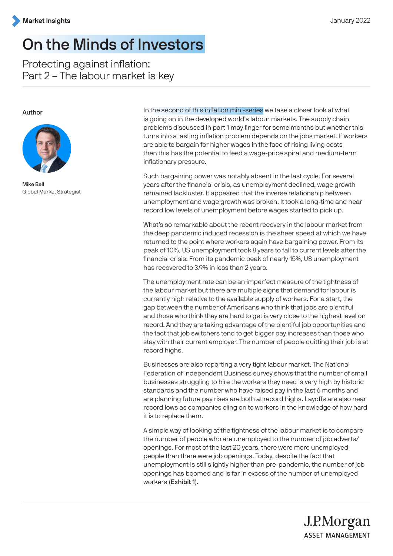# On the Minds of Investors

Protecting against inflation: Part 2 – The labour market is key

### Author



Mike Bell Global Market Strategist

In the second of this inflation mini-series we take a closer look at what is going on in the developed world's labour markets. The supply chain problems discussed in part 1 may linger for some months but whether this turns into a lasting inflation problem depends on the jobs market. If workers are able to bargain for higher wages in the face of rising living costs then this has the potential to feed a wage-price spiral and medium-term inflationary pressure.

Such bargaining power was notably absent in the last cycle. For several years after the financial crisis, as unemployment declined, wage growth remained lackluster. It appeared that the inverse relationship between unemployment and wage growth was broken. It took a long-time and near record low levels of unemployment before wages started to pick up.

What's so remarkable about the recent recovery in the labour market from the deep pandemic induced recession is the sheer speed at which we have returned to the point where workers again have bargaining power. From its peak of 10%, US unemployment took 8 years to fall to current levels after the financial crisis. From its pandemic peak of nearly 15%, US unemployment has recovered to 3.9% in less than 2 years.

The unemployment rate can be an imperfect measure of the tightness of the labour market but there are multiple signs that demand for labour is currently high relative to the available supply of workers. For a start, the gap between the number of Americans who think that jobs are plentiful and those who think they are hard to get is very close to the highest level on record. And they are taking advantage of the plentiful job opportunities and the fact that job switchers tend to get bigger pay increases than those who stay with their current employer. The number of people quitting their job is at record highs.

Businesses are also reporting a very tight labour market. The National Federation of Independent Business survey shows that the number of small businesses struggling to hire the workers they need is very high by historic standards and the number who have raised pay in the last 6 months and are planning future pay rises are both at record highs. Layoffs are also near record lows as companies cling on to workers in the knowledge of how hard it is to replace them.

A simple way of looking at the tightness of the labour market is to compare the number of people who are unemployed to the number of job adverts/ openings. For most of the last 20 years, there were more unemployed people than there were job openings. Today, despite the fact that unemployment is still slightly higher than pre-pandemic, the number of job openings has boomed and is far in excess of the number of unemployed workers (Exhibit 1).

> J.P.Morgan **ASSET MANAGEMENT**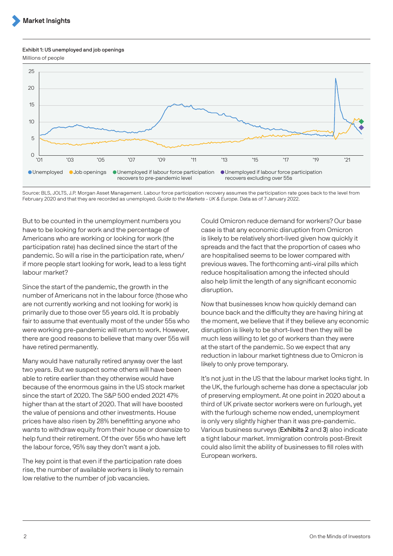#### Exhibit 1: US unemployed and job openings

Millions of people



Source: BLS, JOLTS, J.P. Morgan Asset Management. Labour force participation recovery assumes the participation rate goes back to the level from February 2020 and that they are recorded as unemployed. Guide to the Markets - UK & Europe. Data as of 7 January 2022.

But to be counted in the unemployment numbers you have to be looking for work and the percentage of Americans who are working or looking for work (the participation rate) has declined since the start of the pandemic. So will a rise in the participation rate, when/ if more people start looking for work, lead to a less tight labour market?

Since the start of the pandemic, the growth in the number of Americans not in the labour force (those who are not currently working and not looking for work) is primarily due to those over 55 years old. It is probably fair to assume that eventually most of the under 55s who were working pre-pandemic will return to work. However, there are good reasons to believe that many over 55s will have retired permanently.

Many would have naturally retired anyway over the last two years. But we suspect some others will have been able to retire earlier than they otherwise would have because of the enormous gains in the US stock market since the start of 2020. The S&P 500 ended 2021 47% higher than at the start of 2020. That will have boosted the value of pensions and other investments. House prices have also risen by 28% benefitting anyone who wants to withdraw equity from their house or downsize to help fund their retirement. Of the over 55s who have left the labour force, 95% say they don't want a job.

The key point is that even if the participation rate does rise, the number of available workers is likely to remain low relative to the number of job vacancies.

Could Omicron reduce demand for workers? Our base case is that any economic disruption from Omicron is likely to be relatively short-lived given how quickly it spreads and the fact that the proportion of cases who are hospitalised seems to be lower compared with previous waves. The forthcoming anti-viral pills which reduce hospitalisation among the infected should also help limit the length of any significant economic disruption.

Now that businesses know how quickly demand can bounce back and the difficulty they are having hiring at the moment, we believe that if they believe any economic disruption is likely to be short-lived then they will be much less willing to let go of workers than they were at the start of the pandemic. So we expect that any reduction in labour market tightness due to Omicron is likely to only prove temporary.

It's not just in the US that the labour market looks tight. In the UK, the furlough scheme has done a spectacular job of preserving employment. At one point in 2020 about a third of UK private sector workers were on furlough, yet with the furlough scheme now ended, unemployment is only very slightly higher than it was pre-pandemic. Various business surveys (Exhibits 2 and 3) also indicate a tight labour market. Immigration controls post-Brexit could also limit the ability of businesses to fill roles with European workers.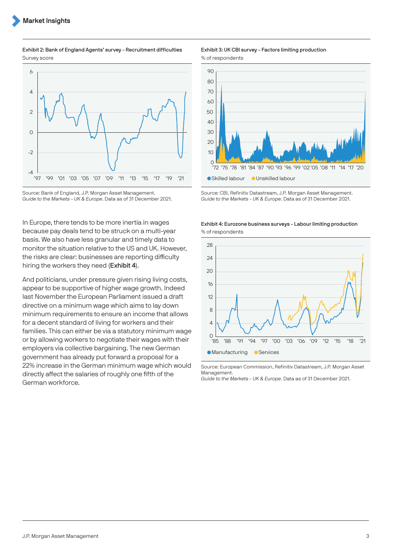#### Exhibit 2: Bank of England Agents' survey - Recruitment difficulties Survey score



Source: Bank of England, J.P. Morgan Asset Management. Guide to the Markets - UK & Europe. Data as of 31 December 2021.

In Europe, there tends to be more inertia in wages because pay deals tend to be struck on a multi-year basis. We also have less granular and timely data to monitor the situation relative to the US and UK. However, the risks are clear: businesses are reporting difficulty hiring the workers they need (Exhibit 4).

And politicians, under pressure given rising living costs, appear to be supportive of higher wage growth. Indeed last November the European Parliament issued a draft directive on a minimum wage which aims to lay down minimum requirements to ensure an income that allows for a decent standard of living for workers and their families. This can either be via a statutory minimum wage or by allowing workers to negotiate their wages with their employers via collective bargaining. The new German government has already put forward a proposal for a 22% increase in the German minimum wage which would directly affect the salaries of roughly one fifth of the German workforce.

#### Exhibit 3: UK CBI survey - Factors limiting production % of respondents



Source: CBI, Refinitiv Datastream, J.P. Morgan Asset Management. Guide to the Markets - UK & Europe. Data as of 31 December 2021.





Source: European Commission, Refinitiv Datastream, J.P. Morgan Asset Management.

Guide to the Markets - UK & Europe. Data as of 31 December 2021.